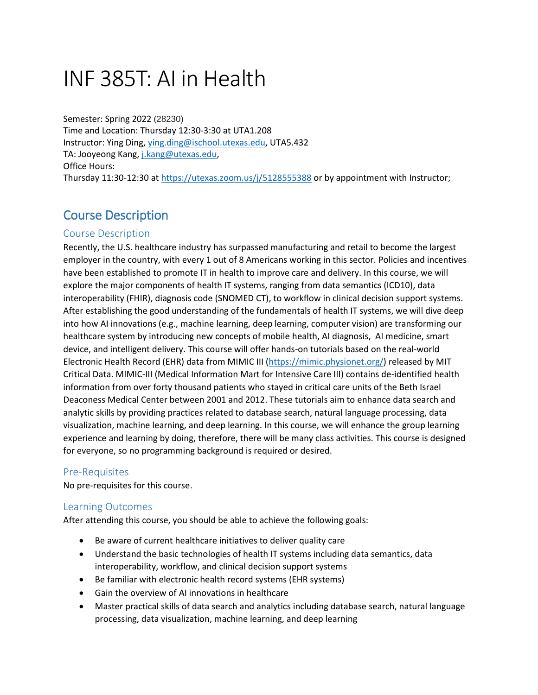# INF 385T: AI in Health

Semester: Spring 2022 (28230) Time and Location: Thursday 12:30-3:30 at UTA1.208 Instructor: Ying Ding, [ying.ding@ischool.utexas.edu,](mailto:ying.ding@ischool.utexas.edu) UTA5.432 TA: Jooyeong Kang, [j.kang@utexas.edu,](mailto:j.kang@utexas.edu) Office Hours: Thursday 11:30-12:30 at<https://utexas.zoom.us/j/5128555388> or by appointment with Instructor;

# Course Description

# Course Description

Recently, the U.S. healthcare industry has surpassed manufacturing and retail to become the largest employer in the country, with every 1 out of 8 Americans working in this sector. Policies and incentives have been established to promote IT in health to improve care and delivery. In this course, we will explore the major components of health IT systems, ranging from data semantics (ICD10), data interoperability (FHIR), diagnosis code (SNOMED CT), to workflow in clinical decision support systems. After establishing the good understanding of the fundamentals of health IT systems, we will dive deep into how AI innovations (e.g., machine learning, deep learning, computer vision) are transforming our healthcare system by introducing new concepts of mobile health, AI diagnosis, AI medicine, smart device, and intelligent delivery. This course will offer hands-on tutorials based on the real-world Electronic Health Record (EHR) data from MIMIC III [\(https://mimic.physionet.org/\)](https://mimic.physionet.org/) released by MIT Critical Data. MIMIC-III (Medical Information Mart for Intensive Care III) contains de-identified health information from over forty thousand patients who stayed in critical care units of the Beth Israel Deaconess Medical Center between 2001 and 2012. These tutorials aim to enhance data search and analytic skills by providing practices related to database search, natural language processing, data visualization, machine learning, and deep learning. In this course, we will enhance the group learning experience and learning by doing, therefore, there will be many class activities. This course is designed for everyone, so no programming background is required or desired.

# Pre-Requisites

No pre-requisites for this course.

# Learning Outcomes

After attending this course, you should be able to achieve the following goals:

- Be aware of current healthcare initiatives to deliver quality care
- Understand the basic technologies of health IT systems including data semantics, data interoperability, workflow, and clinical decision support systems
- Be familiar with electronic health record systems (EHR systems)
- Gain the overview of AI innovations in healthcare
- Master practical skills of data search and analytics including database search, natural language processing, data visualization, machine learning, and deep learning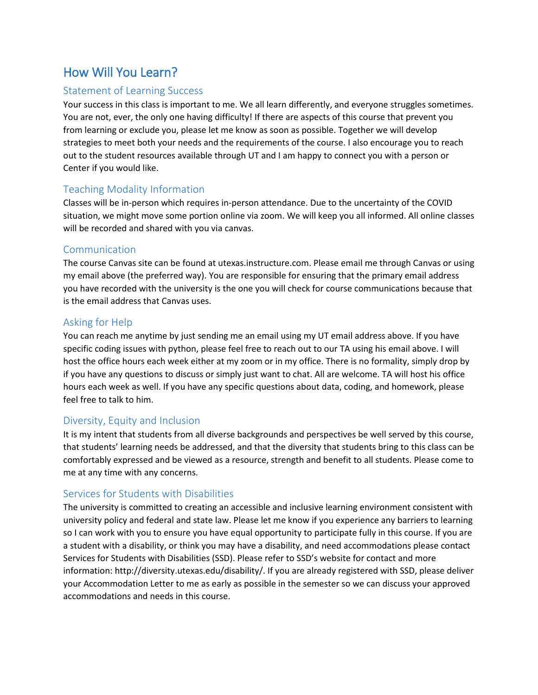# How Will You Learn?

### Statement of Learning Success

Your success in this class is important to me. We all learn differently, and everyone struggles sometimes. You are not, ever, the only one having difficulty! If there are aspects of this course that prevent you from learning or exclude you, please let me know as soon as possible. Together we will develop strategies to meet both your needs and the requirements of the course. I also encourage you to reach out to the student resources available through UT and I am happy to connect you with a person or Center if you would like.

### Teaching Modality Information

Classes will be in-person which requires in-person attendance. Due to the uncertainty of the COVID situation, we might move some portion online via zoom. We will keep you all informed. All online classes will be recorded and shared with you via canvas.

#### Communication

The course Canvas site can be found at utexas.instructure.com. Please email me through Canvas or using my email above (the preferred way). You are responsible for ensuring that the primary email address you have recorded with the university is the one you will check for course communications because that is the email address that Canvas uses.

### Asking for Help

You can reach me anytime by just sending me an email using my UT email address above. If you have specific coding issues with python, please feel free to reach out to our TA using his email above. I will host the office hours each week either at my zoom or in my office. There is no formality, simply drop by if you have any questions to discuss or simply just want to chat. All are welcome. TA will host his office hours each week as well. If you have any specific questions about data, coding, and homework, please feel free to talk to him.

#### Diversity, Equity and Inclusion

It is my intent that students from all diverse backgrounds and perspectives be well served by this course, that students' learning needs be addressed, and that the diversity that students bring to this class can be comfortably expressed and be viewed as a resource, strength and benefit to all students. Please come to me at any time with any concerns.

#### Services for Students with Disabilities

The university is committed to creating an accessible and inclusive learning environment consistent with university policy and federal and state law. Please let me know if you experience any barriers to learning so I can work with you to ensure you have equal opportunity to participate fully in this course. If you are a student with a disability, or think you may have a disability, and need accommodations please contact Services for Students with Disabilities (SSD). Please refer to SSD's website for contact and more information: http://diversity.utexas.edu/disability/. If you are already registered with SSD, please deliver your Accommodation Letter to me as early as possible in the semester so we can discuss your approved accommodations and needs in this course.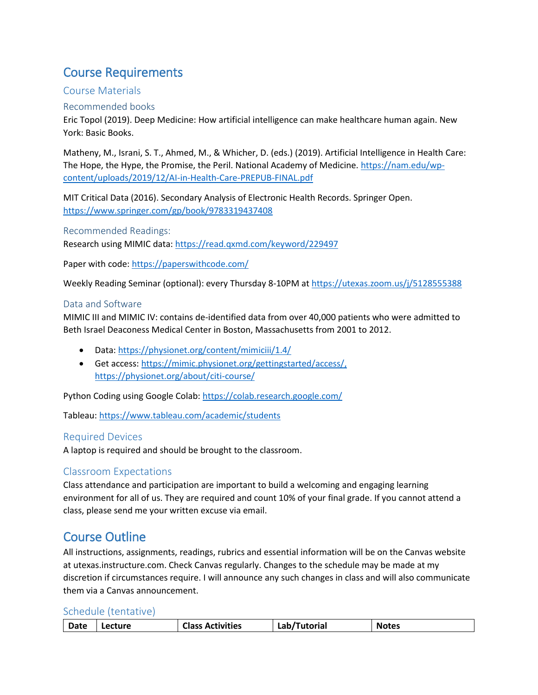# Course Requirements

### Course Materials

#### Recommended books

Eric Topol (2019). Deep Medicine: How artificial intelligence can make healthcare human again. New York: Basic Books.

Matheny, M., Israni, S. T., Ahmed, M., & Whicher, D. (eds.) (2019). Artificial Intelligence in Health Care: The Hope, the Hype, the Promise, the Peril. National Academy of Medicine[. https://nam.edu/wp](https://nam.edu/wp-content/uploads/2019/12/AI-in-Health-Care-PREPUB-FINAL.pdf)[content/uploads/2019/12/AI-in-Health-Care-PREPUB-FINAL.pdf](https://nam.edu/wp-content/uploads/2019/12/AI-in-Health-Care-PREPUB-FINAL.pdf)

MIT Critical Data (2016). Secondary Analysis of Electronic Health Records. Springer Open. <https://www.springer.com/gp/book/9783319437408>

Recommended Readings:

Research using MIMIC data:<https://read.qxmd.com/keyword/229497>

Paper with code:<https://paperswithcode.com/>

Weekly Reading Seminar (optional): every Thursday 8-10PM a[t https://utexas.zoom.us/j/5128555388](https://utexas.zoom.us/j/5128555388)

#### Data and Software

MIMIC III and MIMIC IV: contains de-identified data from over 40,000 patients who were admitted to Beth Israel Deaconess Medical Center in Boston, Massachusetts from 2001 to 2012.

- Data:<https://physionet.org/content/mimiciii/1.4/>
- Get access[: https://mimic.physionet.org/gettingstarted/access/,](https://mimic.physionet.org/gettingstarted/access/) https://physionet.org/about/citi-course/

Python Coding using Google Colab[: https://colab.research.google.com/](https://colab.research.google.com/github/tensorflow/examples/blob/master/courses/udacity_intro_to_tensorflow_for_deep_learning/l01c01_introduction_to_colab_and_python.ipynb)

Tableau:<https://www.tableau.com/academic/students>

#### Required Devices

A laptop is required and should be brought to the classroom.

# Classroom Expectations

Class attendance and participation are important to build a welcoming and engaging learning environment for all of us. They are required and count 10% of your final grade. If you cannot attend a class, please send me your written excuse via email.

# Course Outline

All instructions, assignments, readings, rubrics and essential information will be on the Canvas website at utexas.instructure.com. Check Canvas regularly. Changes to the schedule may be made at my discretion if circumstances require. I will announce any such changes in class and will also communicate them via a Canvas announcement.

#### Schedule (tentative)

| <b>Activities</b><br>Date<br><b>utorial</b><br><b>Notes</b><br>Class<br>ecture |
|--------------------------------------------------------------------------------|
|--------------------------------------------------------------------------------|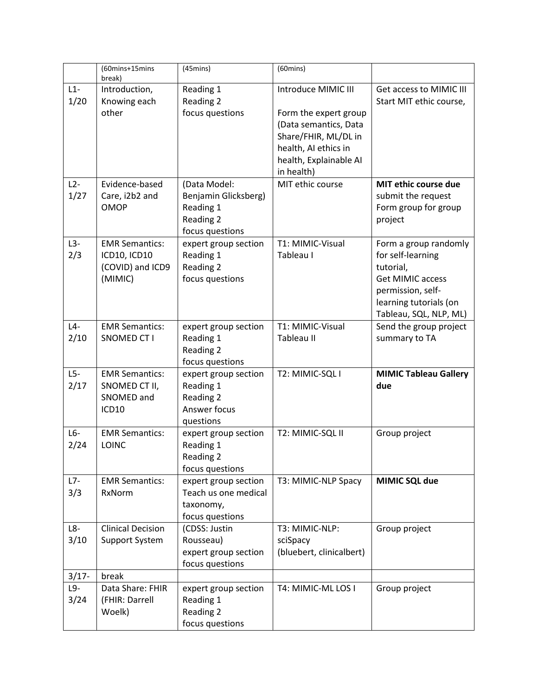|               | (60mins+15mins<br>break)                                                    | $(45 \text{mins})$                                                                | $(60 \text{mins})$                                                                                                                                            |                                                                                                                                                             |
|---------------|-----------------------------------------------------------------------------|-----------------------------------------------------------------------------------|---------------------------------------------------------------------------------------------------------------------------------------------------------------|-------------------------------------------------------------------------------------------------------------------------------------------------------------|
| $L1-$<br>1/20 | Introduction,<br>Knowing each<br>other                                      | Reading 1<br>Reading 2<br>focus questions                                         | Introduce MIMIC III<br>Form the expert group<br>(Data semantics, Data<br>Share/FHIR, ML/DL in<br>health, AI ethics in<br>health, Explainable AI<br>in health) | Get access to MIMIC III<br>Start MIT ethic course,                                                                                                          |
| $L2-$<br>1/27 | Evidence-based<br>Care, i2b2 and<br><b>OMOP</b>                             | (Data Model:<br>Benjamin Glicksberg)<br>Reading 1<br>Reading 2<br>focus questions | MIT ethic course                                                                                                                                              | MIT ethic course due<br>submit the request<br>Form group for group<br>project                                                                               |
| $L3-$<br>2/3  | <b>EMR Semantics:</b><br><b>ICD10, ICD10</b><br>(COVID) and ICD9<br>(MIMIC) | expert group section<br>Reading 1<br>Reading 2<br>focus questions                 | T1: MIMIC-Visual<br>Tableau I                                                                                                                                 | Form a group randomly<br>for self-learning<br>tutorial,<br><b>Get MIMIC access</b><br>permission, self-<br>learning tutorials (on<br>Tableau, SQL, NLP, ML) |
| $L4-$<br>2/10 | <b>EMR Semantics:</b><br><b>SNOMED CT I</b>                                 | expert group section<br>Reading 1<br>Reading 2<br>focus questions                 | T1: MIMIC-Visual<br>Tableau II                                                                                                                                | Send the group project<br>summary to TA                                                                                                                     |
| $L5-$<br>2/17 | <b>EMR Semantics:</b><br>SNOMED CT II,<br>SNOMED and<br>ICD10               | expert group section<br>Reading 1<br>Reading 2<br>Answer focus<br>questions       | T2: MIMIC-SQL I                                                                                                                                               | <b>MIMIC Tableau Gallery</b><br>due                                                                                                                         |
| $L6-$<br>2/24 | <b>EMR Semantics:</b><br>LOINC                                              | expert group section<br>Reading 1<br>Reading 2<br>focus questions                 | T2: MIMIC-SQL II                                                                                                                                              | Group project                                                                                                                                               |
| $L7-$<br>3/3  | <b>EMR Semantics:</b><br>RxNorm                                             | expert group section<br>Teach us one medical<br>taxonomy,<br>focus questions      | T3: MIMIC-NLP Spacy                                                                                                                                           | MIMIC SQL due                                                                                                                                               |
| $L8-$<br>3/10 | <b>Clinical Decision</b><br><b>Support System</b>                           | (CDSS: Justin<br>Rousseau)<br>expert group section<br>focus questions             | T3: MIMIC-NLP:<br>sciSpacy<br>(bluebert, clinicalbert)                                                                                                        | Group project                                                                                                                                               |
| $3/17 -$      | break                                                                       |                                                                                   |                                                                                                                                                               |                                                                                                                                                             |
| L9-<br>3/24   | Data Share: FHIR<br>(FHIR: Darrell<br>Woelk)                                | expert group section<br>Reading 1<br>Reading 2<br>focus questions                 | T4: MIMIC-ML LOS I                                                                                                                                            | Group project                                                                                                                                               |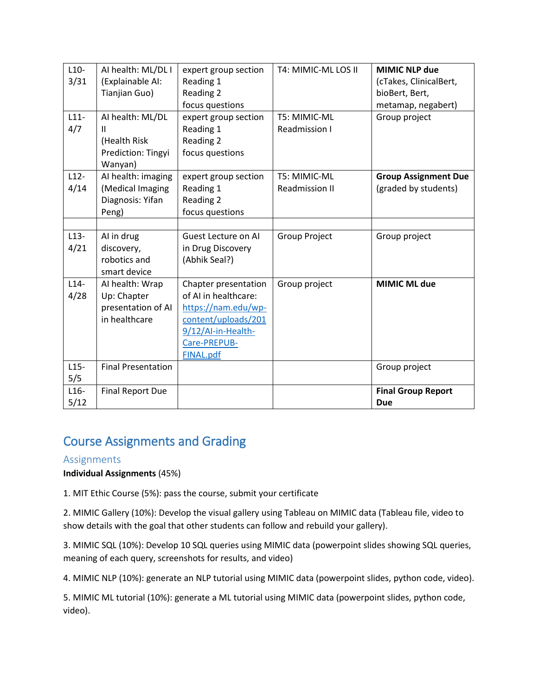| $L10-$ | AI health: ML/DL I        | expert group section | T4: MIMIC-ML LOS II   | <b>MIMIC NLP due</b>        |
|--------|---------------------------|----------------------|-----------------------|-----------------------------|
| 3/31   | (Explainable AI:          | Reading 1            |                       | (cTakes, ClinicalBert,      |
|        | Tianjian Guo)             | Reading 2            |                       | bioBert, Bert,              |
|        |                           | focus questions      |                       | metamap, negabert)          |
| $L11-$ | AI health: ML/DL          | expert group section | T5: MIMIC-ML          | Group project               |
| 4/7    | Ш                         | Reading 1            | Readmission I         |                             |
|        | (Health Risk              | Reading 2            |                       |                             |
|        | Prediction: Tingyi        | focus questions      |                       |                             |
|        | Wanyan)                   |                      |                       |                             |
| $L12-$ | AI health: imaging        | expert group section | T5: MIMIC-ML          | <b>Group Assignment Due</b> |
| 4/14   | (Medical Imaging          | Reading 1            | <b>Readmission II</b> | (graded by students)        |
|        | Diagnosis: Yifan          | Reading 2            |                       |                             |
|        | Peng)                     | focus questions      |                       |                             |
|        |                           |                      |                       |                             |
| $L13-$ | Al in drug                | Guest Lecture on AI  | <b>Group Project</b>  | Group project               |
| 4/21   | discovery,                | in Drug Discovery    |                       |                             |
|        | robotics and              | (Abhik Seal?)        |                       |                             |
|        | smart device              |                      |                       |                             |
| $L14-$ | AI health: Wrap           | Chapter presentation | Group project         | <b>MIMIC ML due</b>         |
| 4/28   | Up: Chapter               | of AI in healthcare: |                       |                             |
|        | presentation of AI        | https://nam.edu/wp-  |                       |                             |
|        | in healthcare             | content/uploads/201  |                       |                             |
|        |                           | 9/12/Al-in-Health-   |                       |                             |
|        |                           | Care-PREPUB-         |                       |                             |
|        |                           | <b>FINAL.pdf</b>     |                       |                             |
| $L15-$ | <b>Final Presentation</b> |                      |                       | Group project               |
| 5/5    |                           |                      |                       |                             |
| $L16-$ | <b>Final Report Due</b>   |                      |                       | <b>Final Group Report</b>   |
| 5/12   |                           |                      |                       | <b>Due</b>                  |

# Course Assignments and Grading

# Assignments

**Individual Assignments** (45%)

1. MIT Ethic Course (5%): pass the course, submit your certificate

2. MIMIC Gallery (10%): Develop the visual gallery using Tableau on MIMIC data (Tableau file, video to show details with the goal that other students can follow and rebuild your gallery).

3. MIMIC SQL (10%): Develop 10 SQL queries using MIMIC data (powerpoint slides showing SQL queries, meaning of each query, screenshots for results, and video)

4. MIMIC NLP (10%): generate an NLP tutorial using MIMIC data (powerpoint slides, python code, video).

5. MIMIC ML tutorial (10%): generate a ML tutorial using MIMIC data (powerpoint slides, python code, video).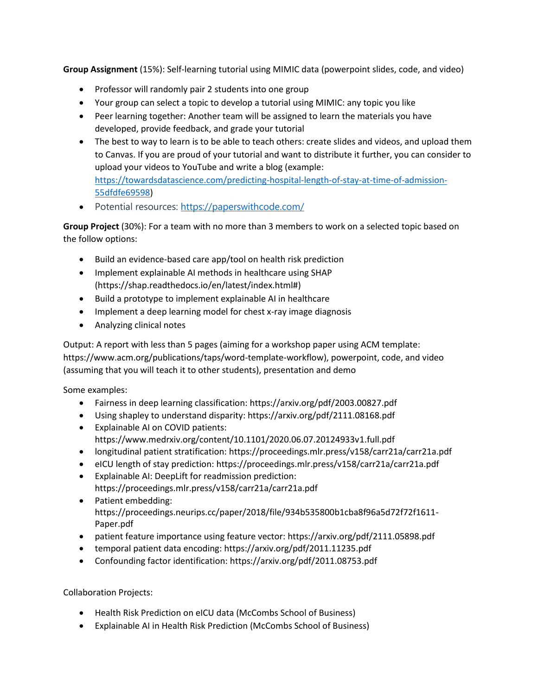**Group Assignment** (15%): Self-learning tutorial using MIMIC data (powerpoint slides, code, and video)

- Professor will randomly pair 2 students into one group
- Your group can select a topic to develop a tutorial using MIMIC: any topic you like
- Peer learning together: Another team will be assigned to learn the materials you have developed, provide feedback, and grade your tutorial
- The best to way to learn is to be able to teach others: create slides and videos, and upload them to Canvas. If you are proud of your tutorial and want to distribute it further, you can consider to upload your videos to YouTube and write a blog (example: [https://towardsdatascience.com/predicting-hospital-length-of-stay-at-time-of-admission-](https://towardsdatascience.com/predicting-hospital-length-of-stay-at-time-of-admission-55dfdfe69598)[55dfdfe69598\)](https://towardsdatascience.com/predicting-hospital-length-of-stay-at-time-of-admission-55dfdfe69598)
- Potential resources: <https://paperswithcode.com/>

**Group Project** (30%): For a team with no more than 3 members to work on a selected topic based on the follow options:

- Build an evidence-based care app/tool on health risk prediction
- Implement explainable AI methods in healthcare using SHAP (https://shap.readthedocs.io/en/latest/index.html#)
- Build a prototype to implement explainable AI in healthcare
- Implement a deep learning model for chest x-ray image diagnosis
- Analyzing clinical notes

Output: A report with less than 5 pages (aiming for a workshop paper using ACM template: https://www.acm.org/publications/taps/word-template-workflow), powerpoint, code, and video (assuming that you will teach it to other students), presentation and demo

Some examples:

- Fairness in deep learning classification: https://arxiv.org/pdf/2003.00827.pdf
- Using shapley to understand disparity: https://arxiv.org/pdf/2111.08168.pdf
- Explainable AI on COVID patients: https://www.medrxiv.org/content/10.1101/2020.06.07.20124933v1.full.pdf
- longitudinal patient stratification: https://proceedings.mlr.press/v158/carr21a/carr21a.pdf
- eICU length of stay prediction: https://proceedings.mlr.press/v158/carr21a/carr21a.pdf
- Explainable AI: DeepLift for readmission prediction: https://proceedings.mlr.press/v158/carr21a/carr21a.pdf
- Patient embedding: https://proceedings.neurips.cc/paper/2018/file/934b535800b1cba8f96a5d72f72f1611- Paper.pdf
- patient feature importance using feature vector: https://arxiv.org/pdf/2111.05898.pdf
- temporal patient data encoding: https://arxiv.org/pdf/2011.11235.pdf
- Confounding factor identification: https://arxiv.org/pdf/2011.08753.pdf

Collaboration Projects:

- Health Risk Prediction on eICU data (McCombs School of Business)
- Explainable AI in Health Risk Prediction (McCombs School of Business)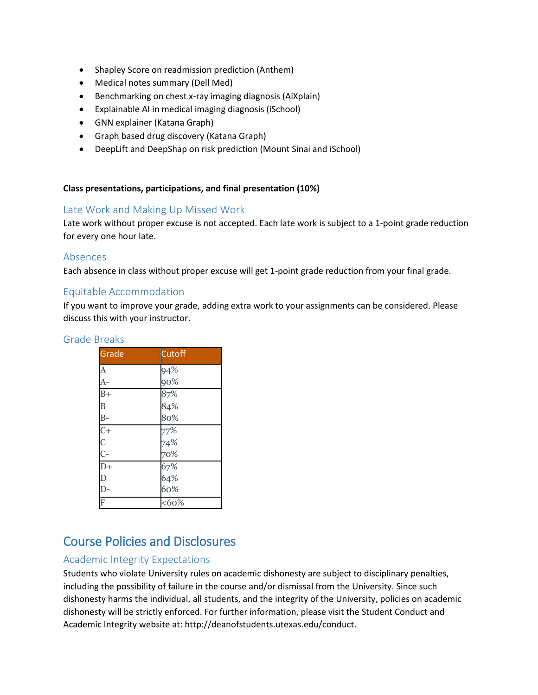- Shapley Score on readmission prediction (Anthem)
- Medical notes summary (Dell Med)
- Benchmarking on chest x-ray imaging diagnosis (AiXplain)
- Explainable AI in medical imaging diagnosis (iSchool)
- GNN explainer (Katana Graph)
- Graph based drug discovery (Katana Graph)
- DeepLift and DeepShap on risk prediction (Mount Sinai and iSchool)

#### **Class presentations, participations, and final presentation (10%)**

### Late Work and Making Up Missed Work

Late work without proper excuse is not accepted. Each late work is subject to a 1-point grade reduction for every one hour late.

#### Absences

Each absence in class without proper excuse will get 1-point grade reduction from your final grade.

#### Equitable Accommodation

If you want to improve your grade, adding extra work to your assignments can be considered. Please discuss this with your instructor.

#### Grade Breaks

| Grade            | <b>Cutoff</b>     |
|------------------|-------------------|
| A                | 94%               |
| $A-$             | 90%               |
| $\overline{B}+$  | 87%<br>84%        |
| B                |                   |
| $B-$             | 80%               |
| $\overline{C}$   | 77%<br>74%<br>70% |
| $\frac{C}{C}$    |                   |
|                  |                   |
| $\overline{D+}$  |                   |
| D                |                   |
| $\overline{D}$ - | 67%<br>64%<br>60% |
| F                | $&60\%$           |

# Course Policies and Disclosures

# Academic Integrity Expectations

Students who violate University rules on academic dishonesty are subject to disciplinary penalties, including the possibility of failure in the course and/or dismissal from the University. Since such dishonesty harms the individual, all students, and the integrity of the University, policies on academic dishonesty will be strictly enforced. For further information, please visit the Student Conduct and Academic Integrity website at: http://deanofstudents.utexas.edu/conduct.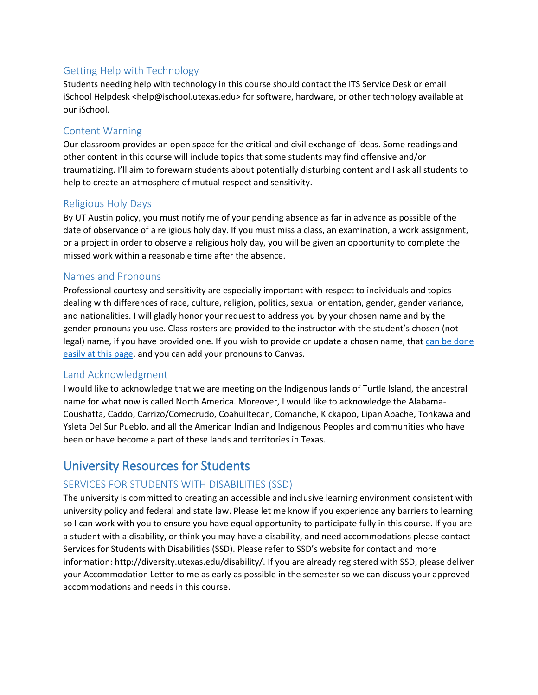# Getting Help with Technology

Students needing help with technology in this course should contact the ITS Service Desk or email iSchool Helpdesk <help@ischool.utexas.edu> for software, hardware, or other technology available at our iSchool.

#### Content Warning

Our classroom provides an open space for the critical and civil exchange of ideas. Some readings and other content in this course will include topics that some students may find offensive and/or traumatizing. I'll aim to forewarn students about potentially disturbing content and I ask all students to help to create an atmosphere of mutual respect and sensitivity.

#### Religious Holy Days

By UT Austin policy, you must notify me of your pending absence as far in advance as possible of the date of observance of a religious holy day. If you must miss a class, an examination, a work assignment, or a project in order to observe a religious holy day, you will be given an opportunity to complete the missed work within a reasonable time after the absence.

#### Names and Pronouns

Professional courtesy and sensitivity are especially important with respect to individuals and topics dealing with differences of race, culture, religion, politics, sexual orientation, gender, gender variance, and nationalities. I will gladly honor your request to address you by your chosen name and by the gender pronouns you use. Class rosters are provided to the instructor with the student's chosen (not legal) name, if you have provided one. If you wish to provide or update a chosen name, that can be done [easily at this page,](https://onestop.utexas.edu/student-records/personal-information/) and you can add your pronouns to Canvas.

#### Land Acknowledgment

I would like to acknowledge that we are meeting on the Indigenous lands of Turtle Island, the ancestral name for what now is called North America. Moreover, I would like to acknowledge the Alabama-Coushatta, Caddo, Carrizo/Comecrudo, Coahuiltecan, Comanche, Kickapoo, Lipan Apache, Tonkawa and Ysleta Del Sur Pueblo, and all the American Indian and Indigenous Peoples and communities who have been or have become a part of these lands and territories in Texas.

# University Resources for Students

# SERVICES FOR STUDENTS WITH DISABILITIES (SSD)

The university is committed to creating an accessible and inclusive learning environment consistent with university policy and federal and state law. Please let me know if you experience any barriers to learning so I can work with you to ensure you have equal opportunity to participate fully in this course. If you are a student with a disability, or think you may have a disability, and need accommodations please contact Services for Students with Disabilities (SSD). Please refer to SSD's website for contact and more information: http://diversity.utexas.edu/disability/. If you are already registered with SSD, please deliver your Accommodation Letter to me as early as possible in the semester so we can discuss your approved accommodations and needs in this course.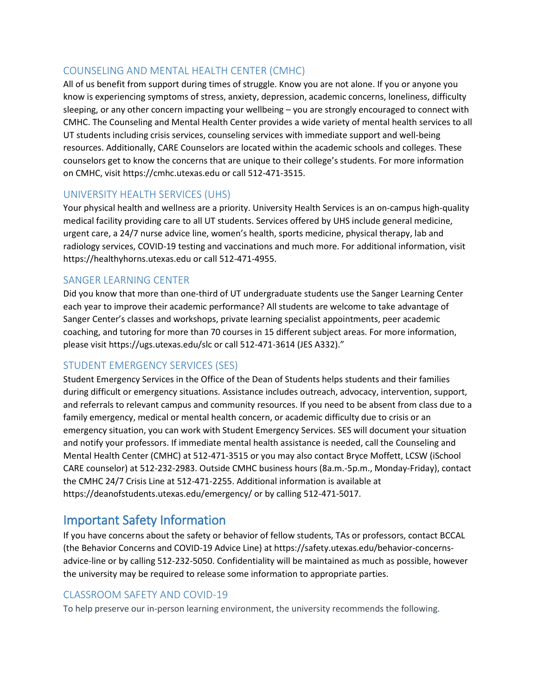# COUNSELING AND MENTAL HEALTH CENTER (CMHC)

All of us benefit from support during times of struggle. Know you are not alone. If you or anyone you know is experiencing symptoms of stress, anxiety, depression, academic concerns, loneliness, difficulty sleeping, or any other concern impacting your wellbeing – you are strongly encouraged to connect with CMHC. The Counseling and Mental Health Center provides a wide variety of mental health services to all UT students including crisis services, counseling services with immediate support and well-being resources. Additionally, CARE Counselors are located within the academic schools and colleges. These counselors get to know the concerns that are unique to their college's students. For more information on CMHC, visit https://cmhc.utexas.edu or call 512-471-3515.

# UNIVERSITY HEALTH SERVICES (UHS)

Your physical health and wellness are a priority. University Health Services is an on-campus high-quality medical facility providing care to all UT students. Services offered by UHS include general medicine, urgent care, a 24/7 nurse advice line, women's health, sports medicine, physical therapy, lab and radiology services, COVID-19 testing and vaccinations and much more. For additional information, visit https://healthyhorns.utexas.edu or call 512-471-4955.

# SANGER LEARNING CENTER

Did you know that more than one-third of UT undergraduate students use the Sanger Learning Center each year to improve their academic performance? All students are welcome to take advantage of Sanger Center's classes and workshops, private learning specialist appointments, peer academic coaching, and tutoring for more than 70 courses in 15 different subject areas. For more information, please visit https://ugs.utexas.edu/slc or call 512-471-3614 (JES A332)."

# STUDENT EMERGENCY SERVICES (SES)

Student Emergency Services in the Office of the Dean of Students helps students and their families during difficult or emergency situations. Assistance includes outreach, advocacy, intervention, support, and referrals to relevant campus and community resources. If you need to be absent from class due to a family emergency, medical or mental health concern, or academic difficulty due to crisis or an emergency situation, you can work with Student Emergency Services. SES will document your situation and notify your professors. If immediate mental health assistance is needed, call the Counseling and Mental Health Center (CMHC) at 512-471-3515 or you may also contact Bryce Moffett, LCSW (iSchool CARE counselor) at 512-232-2983. Outside CMHC business hours (8a.m.-5p.m., Monday-Friday), contact the CMHC 24/7 Crisis Line at 512-471-2255. Additional information is available at https://deanofstudents.utexas.edu/emergency/ or by calling 512-471-5017.

# Important Safety Information

If you have concerns about the safety or behavior of fellow students, TAs or professors, contact BCCAL (the Behavior Concerns and COVID-19 Advice Line) at https://safety.utexas.edu/behavior-concernsadvice-line or by calling 512-232-5050. Confidentiality will be maintained as much as possible, however the university may be required to release some information to appropriate parties.

# CLASSROOM SAFETY AND COVID-19

To help preserve our in-person learning environment, the university recommends the following.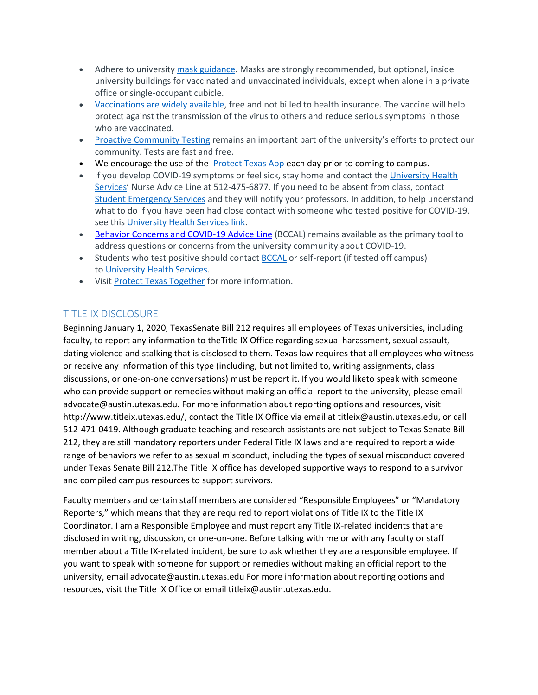- Adhere to universit[y mask guidance.](https://t.e2ma.net/click/fuzy1f/7f70iib/3gdvdxc) Masks are strongly recommended, but optional, inside university buildings for vaccinated and unvaccinated individuals, except when alone in a private office or single-occupant cubicle.
- [Vaccinations are widely available,](https://t.e2ma.net/click/fuzy1f/7f70iib/j9dvdxc) free and not billed to health insurance. The vaccine will help protect against the transmission of the virus to others and reduce serious symptoms in those who are vaccinated.
- [Proactive Community Testing](https://t.e2ma.net/click/fuzy1f/7f70iib/z1evdxc) remains an important part of the university's efforts to protect our community. Tests are fast and free.
- We encourage the use of the **Protect Texas App each day prior to coming to campus.**
- If you develop COVID-19 symptoms or feel sick, stay home and contact th[e University Health](https://www.healthyhorns.utexas.edu/)  [Services](https://www.healthyhorns.utexas.edu/)' Nurse Advice Line at 512-475-6877. If you need to be absent from class, contact [Student Emergency Services](https://t.e2ma.net/click/l02i5z/dmu8psb/9yd5cm4) and they will notify your professors. In addition, to help understand what to do if you have been had close contact with someone who tested positive for COVID-19, see this [University Health Services link.](https://healthyhorns.utexas.edu/coronavirus_exposure_action_chart.html)
- [Behavior Concerns and COVID-19 Advice Line](https://safety.utexas.edu/behavior-concerns-advice-line) (BCCAL) remains available as the primary tool to address questions or concerns from the university community about COVID-19.
- Students who test positive should contact [BCCAL](https://safety.utexas.edu/behavior-concerns-advice-line) or self-report (if tested off campus) to [University Health Services.](https://healthyhorns.utexas.edu/coronavirus_self_report.html)
- Visit [Protect Texas Together](https://protect.utexas.edu/) for more information.

# TITLE IX DISCLOSURE

Beginning January 1, 2020, TexasSenate Bill 212 requires all employees of Texas universities, including faculty, to report any information to theTitle IX Office regarding sexual harassment, sexual assault, dating violence and stalking that is disclosed to them. Texas law requires that all employees who witness or receive any information of this type (including, but not limited to, writing assignments, class discussions, or one-on-one conversations) must be report it. If you would liketo speak with someone who can provide support or remedies without making an official report to the university, please email advocate@austin.utexas.edu. For more information about reporting options and resources, visit http://www.titleix.utexas.edu/, contact the Title IX Office via email at titleix@austin.utexas.edu, or call 512-471-0419. Although graduate teaching and research assistants are not subject to Texas Senate Bill 212, they are still mandatory reporters under Federal Title IX laws and are required to report a wide range of behaviors we refer to as sexual misconduct, including the types of sexual misconduct covered under Texas Senate Bill 212.The Title IX office has developed supportive ways to respond to a survivor and compiled campus resources to support survivors.

Faculty members and certain staff members are considered "Responsible Employees" or "Mandatory Reporters," which means that they are required to report violations of Title IX to the Title IX Coordinator. I am a Responsible Employee and must report any Title IX-related incidents that are disclosed in writing, discussion, or one-on-one. Before talking with me or with any faculty or staff member about a Title IX-related incident, be sure to ask whether they are a responsible employee. If you want to speak with someone for support or remedies without making an official report to the university, email advocate@austin.utexas.edu For more information about reporting options and resources, visit the Title IX Office or email titleix@austin.utexas.edu.